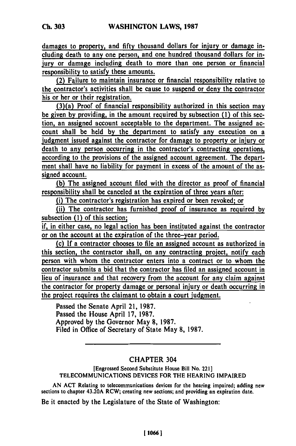damages to property, and **fifty** thousand dollars for injury or damage including death to any one person, and one hundred thousand dollars for injury or damage including death to more than one person or financial responsibility to satisfy these amounts.

(2) Failure to maintain insurance or financial responsibility relative to the contractor's activities shall be cause to suspend or deny the contractor his or her or their registration.

(3)(a) Proof of financial responsibility authorized in this section **may** be given **by** providing, in the amount required **by** subsection **(1)** of this section, an assigned account acceptable to the department. The assigned account shall be held **by** the department to satisfy any execution on a judgment issued against the contractor for damage to property or injury or death to any person occurring in the contractor's contracting operations, according to the provisions of the assigned account agreement. The department shall have no liability for payment in excess of the amount of the assigned account.

**(b)** The assigned account filed with the director as proof of financial responsibility shall be canceled at the expiration of three years after:

(i) The contractor's registration has expired or been revoked; **or**

(ii) The contractor has furnished proof of insurance as required **by** subsection **(1)** of this section;

if, in either case, no legal action has been instituted against the contractor or on the account at the expiration of the three-year period.

(c) **If** a contractor chooses to file an assigned account as authorized in this section, the contractor shall, on any contracting project, notify each person with whom the contractor enters into a contract or to whom the contractor submits a bid that the contractor has filed an assigned account in lieu of insurance and that recovery from the account for any claim against the contractor for property damage or personal injury or death occurring in the project requires the claimant to obtain a court judgment.

Passed the Senate April 21, **1987.** Passed the House April **17, 1987.** Approved **by** the Governor May **8, 1987.** Filed in Office of Secretary of State May **8, 1987.**

## CHAPTER 304

[Engrossed Second Substitute House Bill No. 221] **TELECOMMUNICATIONS** DEVICES FOR THE **HEARING** IMPAIRED

**AN ACT** Relating to telecommunications devices **for** the hearing impaired; adding new sections to chapter 43.20A RCW; creating new sections; and providing an expiration date.

Be it enacted **by** the Legislature of the State of Washington: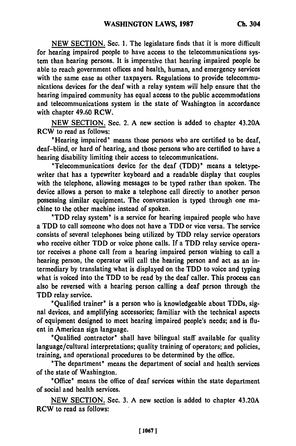**NEW SECTION.** Sec. **1.** The legislature finds that it is more difficult for hearing impaired people to have access to the telecommunications system than hearing persons. It is imperative that hearing impaired people be able to reach government offices and health, human, and emergency services with the same ease as other taxpayers. Regulations to provide telecommunications devices for the deaf with a relay system will help ensure that the hearing impaired community has equal access to the public accommodations and telecommunications system in the state of Washington in accordance with chapter 49.60 RCW.

NEW SECTION. Sec. 2. A new section is added to chapter 43.20A RCW to read as follows:

"Hearing impaired" means those persons who are certified to be deaf, deaf-blind, or hard of hearing, and those persons who are certified to have a hearing disability limiting their access to telecommunications.

"Telecommunications device for the deaf (TDD)" means a teletypewriter that has a typewriter keyboard and a readable display that couples with the telephone, allowing messages to be typed rather than spoken. The device allows a person to make a telephone call directly to another person possessing similar equipment. The conversation is typed through one machine to the other machine instead of spoken.

'TDD relay system" is a service for hearing impaired people who have a TDD to call someone who does not have a TDD or vice versa. The service consists of several telephones being utilized **by** TDD relay service operators who receive either TDD or voice phone calls. **If** a TDD relay service operator receives a phone call from a hearing impaired person wishing to call a hearing person, the operator will call the hearing person and act as an intermediary **by** translating what is displayed on the TDD to voice and typing what is voiced into the TDD to be read **by** the deaf caller. This process can also be reversed with a hearing person calling a deaf person through the TDD relay service.

'Qualified trainer" is a person who is knowledgeable about TDDs, signal devices, and amplifying accessories; familiar with the technical aspects of equipment designed to meet hearing impaired people's needs; and is fluent in American sign language.

'Qualified contractor" shall have bilingual staff available for quality language/cultural interpretations; quality training of operators; and policies, training, and operational procedures to be determined **by** the office.

"The department' means the department of social and health services of the state of Washington.

"Office" means the office of deaf services within the state department of social and health services.

NEW SECTION. Sec. **3.** A new section is added to chapter 43.20A RCW to read as follows: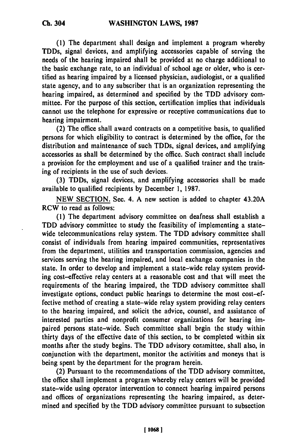**(1)** The department shall design and implement a program whereby TDDs, signal devices, and amplifying accessories capable of serving the needs of the hearing impaired shall be provided at no charge additional to the basic exchange rate, to an individual of school age or older, who is certified as hearing impaired **by** a licensed physician, audiologist, or a qualified state agency, and to any subscriber that is an organization representing the hearing impaired, as determined and specified **by** the TDD advisory committee. For the purpose of this section, certification implies that individuals cannot use the telephone for expressive or receptive communications due to hearing impairment.

(2) The office shall award contracts on a competitive basis, to qualified persons for which eligibility to contract is determined **by** the office, for the distribution and maintenance of such TDDs, signal devices, and amplifying accessories as shall be determined **by** the office. Such contract shall include a provision for the employment and use of a qualified trainer and the training of recipients in the use of such devices.

**(3)** TDDs, signal devices, and amplifying accessories shall be made available to qualified recipients by December **1, 1987.**

**NEW** SECTION. Sec. 4. A new section is added to chapter 43.20A RCW to read as follows:

**(1)** The department advisory committee on deafness shall establish a TDD advisory committee to study the feasibility of implementing a statewide telecommunications relay system. The TDD advisory committee shall consist of individuals from hearing impaired communities, representatives from the department, utilities and transportation commission, agencies and services serving the hearing impaired, and local exchange companies in the state. In order to develop and implement a state-wide relay system providing cost-effective relay centers at a reasonable cost and that will meet the requirements of the hearing impaired, the TDD advisory committee shall investigate options, conduct public hearings to determine the most cost-effective method of creating a state-wide relay system providing relay centers to the hearing impaired, and solicit the advice, counsel, and assistance of interested parties and nonprofit consumer organizations for hearing impaired persons state-wide. Such committee shall begin the study within thirty days of the effective date of this section, to **bc** completed within six months after the study begins. The TDD advisory committee, shall also, in conjunction with the department, monitor the activities and moneys that is being spent **by** the department for the program herein.

(2) Pursuant to the recommendations of the TDD advisory committee, the office shall implement a program whereby relay centers will be provided state-wide using operator intervention to connect hearing impaired persons and offices of organizations representing the hearing impaired, as determined and specified **by** the TDD advisory committee pursuant to subsection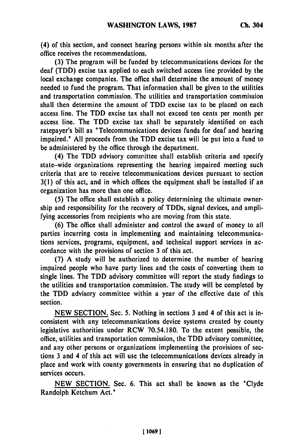(4) of this section, and connect hearing persons within six months after the office receives the recommendations.

**(3)** The program will be funded **by** telecommunications devices for the deaf (TDD) excise tax applied to each switched access line provided **by** the local exchange companies. The office shall determine the amount of money needed to fund the program. That information shall be given to the utilities and transportation commission. The utilities and transportation commission shall then determine the amount of TDD excise tax to be placed on each access line. The TDD excise tax shall not exceed ten cents per month per access line. The TDD excise tax shall be separately identified on each ratepayer's bill as "Telecommunications devices funds for deaf and hearing impaired." **All** proceeds from the TDD excise tax will be put into a fund to be administered **by** the office through the department.

(4) The TDD advisory committee shall establish criteria and specify state-wide organizations representing the hearing impaired meeting such criteria that are to receive telecommunications devices pursuant to section **3(1)** of this act, and in which offices the equipment shall be installed if an organization has more than one office.

**(5)** The office shall establish a policy determining the ultimate ownership and responsibility for the recovery of TDDs, signal devices, and amplifying accessories from recipients who are moving from this state.

**(6)** The office shall administer and control the award of money to all parties incurring costs in implementing and maintaining telecommunications services, programs, equipment, and technical support services in accordance with the provisions of section 3 of this act.

**(7) A** study will be authorized to determine the number of hearing impaired people who have party lines and the costs of converting them to single lines. The TDD advisory committee will report the study findings to the utilities and transportation commission. The study will be completed **by** the TDD advisory committee within a year of the effective date of this section.

**NEW SECTION.** Sec. **5.** Nothing in sections 3 and 4 of this act is inconsistent with any telecommunications device systems created **by** county legislative authorities under RCW **70.54.180.** To the extent possible, the office, utilities and transportation commission, the TDD advisory committee, and any other persons or organizations implementing the provisions of sections 3 and 4 of this act will use the telecommunications devices already in place and work with county governments in ensuring that no duplication of services occurs.

**NEW** SECTION. Sec. **6.** This act shall be known as the "Clyde Randolph Ketchum Act."